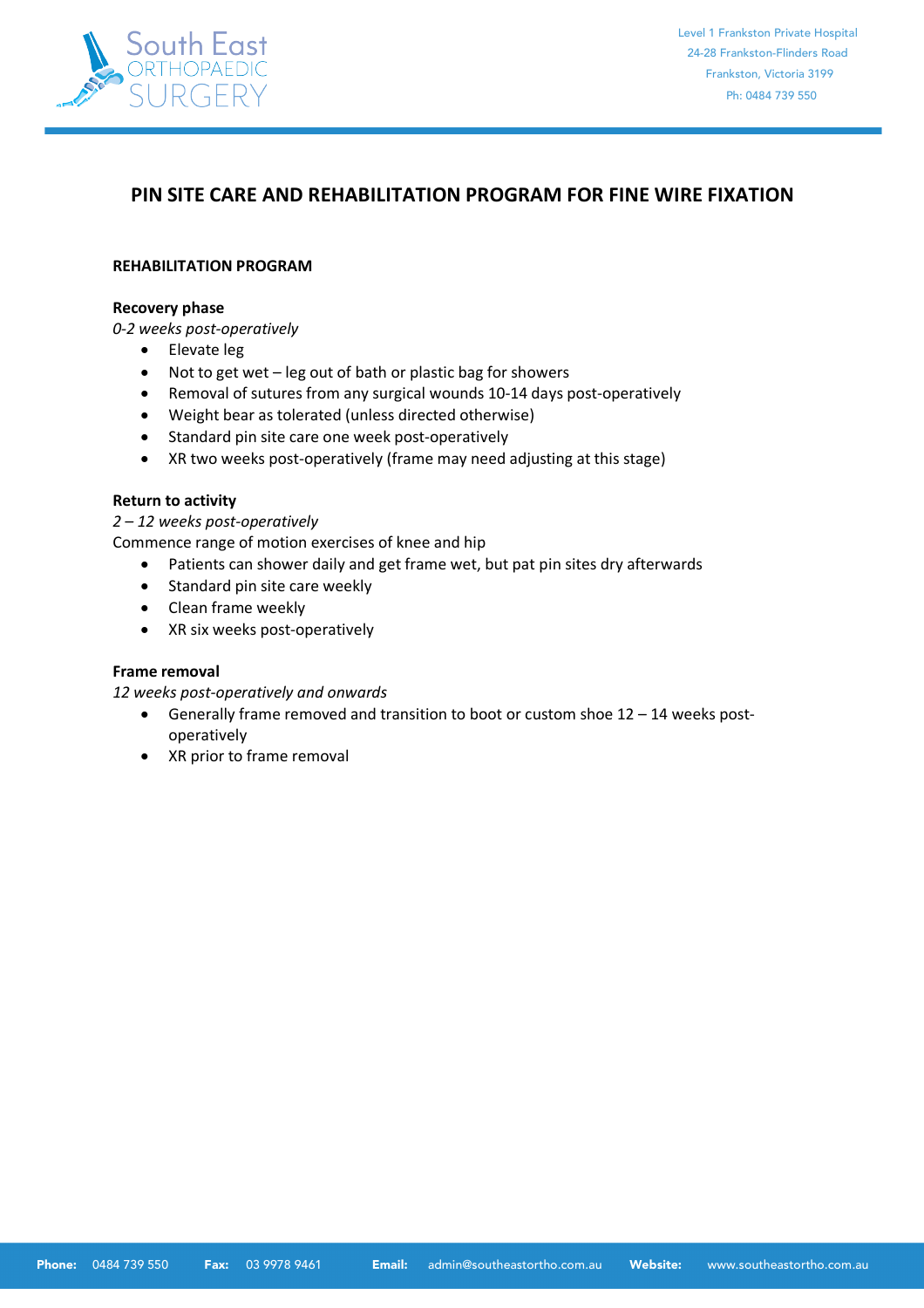

# **PIN SITE CARE AND REHABILITATION PROGRAM FOR FINE WIRE FIXATION**

### **REHABILITATION PROGRAM**

#### **Recovery phase**

*0-2 weeks post-operatively*

- Elevate leg
- Not to get wet leg out of bath or plastic bag for showers
- Removal of sutures from any surgical wounds 10-14 days post-operatively
- Weight bear as tolerated (unless directed otherwise)
- Standard pin site care one week post-operatively
- XR two weeks post-operatively (frame may need adjusting at this stage)

# **Return to activity**

*2 – 12 weeks post-operatively*

Commence range of motion exercises of knee and hip

- Patients can shower daily and get frame wet, but pat pin sites dry afterwards
- Standard pin site care weekly
- Clean frame weekly
- XR six weeks post-operatively

# **Frame removal**

*12 weeks post-operatively and onwards*

- Generally frame removed and transition to boot or custom shoe 12 14 weeks postoperatively
- XR prior to frame removal